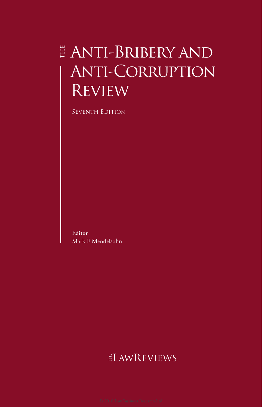## Anti-Bribery and Anti-Corruption **REVIEW**

Seventh Edition

**Editor** Mark F Mendelsohn

## ELAWREVIEWS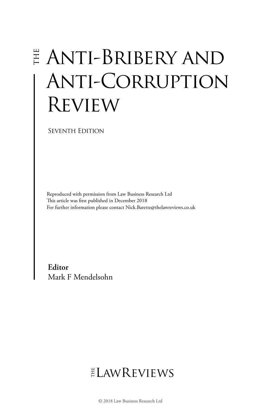# Anti-Bribery and Anti-Corruption Review

SEVENTH EDITION

Reproduced with permission from Law Business Research Ltd This article was first published in December 2018 For further information please contact Nick.Barette@thelawreviews.co.uk

**Editor** Mark F Mendelsohn

## $ELMR$  EVIEWS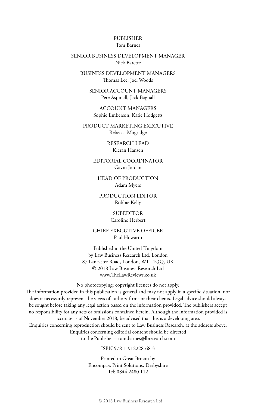#### PUBLISHER Tom Barnes

#### SENIOR BUSINESS DEVELOPMENT MANAGER Nick Barette

BUSINESS DEVELOPMENT MANAGERS Thomas Lee, Joel Woods

SENIOR ACCOUNT MANAGERS Pere Aspinall, Jack Bagnall

ACCOUNT MANAGERS Sophie Emberson, Katie Hodgetts

PRODUCT MARKETING EXECUTIVE Rebecca Mogridge

> RESEARCH LEAD Kieran Hansen

EDITORIAL COORDINATOR Gavin Jordan

HEAD OF PRODUCTION Adam Myers

PRODUCTION EDITOR Robbie Kelly

> SUBEDITOR Caroline Herbert

CHIEF EXECUTIVE OFFICER Paul Howarth

Published in the United Kingdom by Law Business Research Ltd, London 87 Lancaster Road, London, W11 1QQ, UK © 2018 Law Business Research Ltd www.TheLawReviews.co.uk

No photocopying: copyright licences do not apply.

The information provided in this publication is general and may not apply in a specific situation, nor does it necessarily represent the views of authors' firms or their clients. Legal advice should always be sought before taking any legal action based on the information provided. The publishers accept no responsibility for any acts or omissions contained herein. Although the information provided is accurate as of November 2018, be advised that this is a developing area. Enquiries concerning reproduction should be sent to Law Business Research, at the address above. Enquiries concerning editorial content should be directed

to the Publisher – tom.barnes@lbresearch.com

ISBN 978-1-912228-68-3

Printed in Great Britain by Encompass Print Solutions, Derbyshire Tel: 0844 2480 112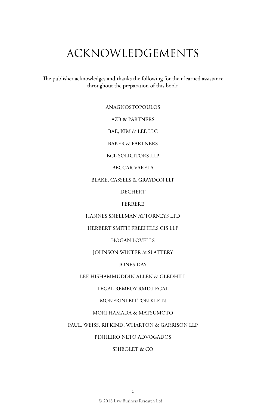## ACKNOWLEDGEMENTS

The publisher acknowledges and thanks the following for their learned assistance throughout the preparation of this book:

ANAGNOSTOPOULOS

AZB & PARTNERS

BAE, KIM & LEE LLC

BAKER & PARTNERS

BCL SOLICITORS LLP

BECCAR VARELA

BLAKE, CASSELS & GRAYDON LLP

DECHERT

FERRERE

HANNES SNELLMAN ATTORNEYS LTD

HERBERT SMITH FREEHILLS CIS LLP

HOGAN LOVELLS

JOHNSON WINTER & SLATTERY

JONES DAY

LEE HISHAMMUDDIN ALLEN & GLEDHILL

LEGAL REMEDY RMD.LEGAL

MONFRINI BITTON KLEIN

#### MORI HAMADA & MATSUMOTO

PAUL, WEISS, RIFKIND, WHARTON & GARRISON LLP

PINHEIRO NETO ADVOGADOS

SHIBOLET & CO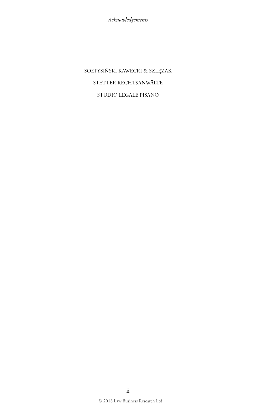SOŁTYSIŃSKI KAWECKI & SZLĘZAK STETTER RECHTSANWÄLTE STUDIO LEGALE PISANO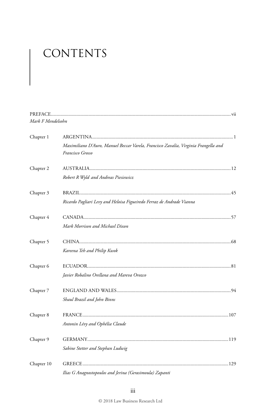# CONTENTS

| Mark F Mendelsohn |                                                                                                         |  |
|-------------------|---------------------------------------------------------------------------------------------------------|--|
| Chapter 1         |                                                                                                         |  |
|                   | Maximiliano D'Auro, Manuel Beccar Varela, Francisco Zavalía, Virginia Frangella and<br>Francisco Grosso |  |
| Chapter 2         |                                                                                                         |  |
|                   | Robert R Wyld and Andreas Piesiewicz                                                                    |  |
| Chapter 3         |                                                                                                         |  |
|                   | Ricardo Pagliari Levy and Heloisa Figueiredo Ferraz de Andrade Vianna                                   |  |
| Chapter 4         |                                                                                                         |  |
|                   | Mark Morrison and Michael Dixon                                                                         |  |
| Chapter 5         |                                                                                                         |  |
|                   | Kareena Teh and Philip Kwok                                                                             |  |
| Chapter 6         |                                                                                                         |  |
|                   | Javier Robalino Orellana and Mareva Orozco                                                              |  |
| Chapter 7         |                                                                                                         |  |
|                   | Shaul Brazil and John Binns                                                                             |  |
| Chapter 8         |                                                                                                         |  |
|                   | Antonin Lévy and Ophélia Claude                                                                         |  |
| Chapter 9         |                                                                                                         |  |
|                   | Sabine Stetter and Stephan Ludwig                                                                       |  |
| Chapter 10        |                                                                                                         |  |
|                   | Ilias G Anagnostopoulos and Jerina (Gerasimoula) Zapanti                                                |  |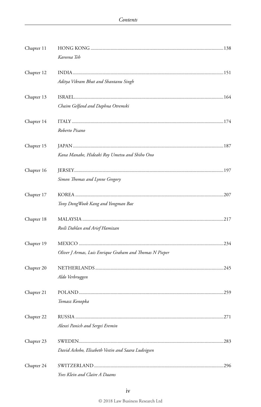| Chapter 11 |                                                         |
|------------|---------------------------------------------------------|
|            | Kareena Teh                                             |
| Chapter 12 |                                                         |
|            | Aditya Vikram Bhat and Shantanu Singh                   |
| Chapter 13 |                                                         |
|            | Chaim Gelfand and Daphna Otremski                       |
| Chapter 14 |                                                         |
|            | Roberto Pisano                                          |
| Chapter 15 |                                                         |
|            | Kana Manabe, Hideaki Roy Umetsu and Shiho Ono           |
| Chapter 16 |                                                         |
|            | Simon Thomas and Lynne Gregory                          |
| Chapter 17 |                                                         |
|            | Tony Dong Wook Kang and Yongman Bae                     |
| Chapter 18 |                                                         |
|            | Rosli Dahlan and Arief Hamizan                          |
| Chapter 19 |                                                         |
|            | Oliver J Armas, Luis Enrique Graham and Thomas N Pieper |
| Chapter 20 |                                                         |
|            | Aldo Verbruggen                                         |
| Chapter 21 |                                                         |
|            | Tomasz Konopka                                          |
| Chapter 22 | .271                                                    |
|            | Alexei Panich and Sergei Eremin                         |
| Chapter 23 | SWEDEN<br>283                                           |
|            | David Ackebo, Elisabeth Vestin and Saara Ludvigsen      |
| Chapter 24 |                                                         |
|            | Yves Klein and Claire A Daams                           |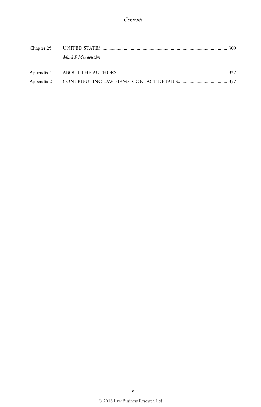|  | Mark F Mendelsohn |  |
|--|-------------------|--|
|  |                   |  |
|  |                   |  |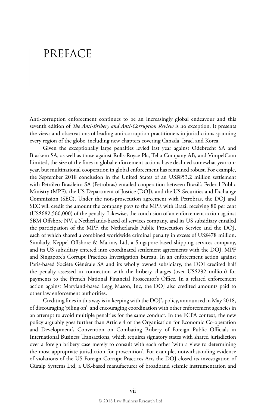## PREFACE

Anti-corruption enforcement continues to be an increasingly global endeavour and this seventh edition of *The Anti-Bribery and Anti-Corruption Review* is no exception. It presents the views and observations of leading anti-corruption practitioners in jurisdictions spanning every region of the globe, including new chapters covering Canada, Israel and Korea.

Given the exceptionally large penalties levied last year against Odebrecht SA and Braskem SA, as well as those against Rolls-Royce Plc, Telia Company AB, and VimpelCom Limited, the size of the fines in global enforcement actions have declined somewhat year-onyear, but multinational cooperation in global enforcement has remained robust. For example, the September 2018 conclusion in the United States of an US\$853.2 million settlement with Petróleo Brasileiro SA (Petrobras) entailed cooperation between Brazil's Federal Public Ministry (MPF), the US Department of Justice (DOJ), and the US Securities and Exchange Commission (SEC). Under the non-prosecution agreement with Petrobras, the DOJ and SEC will credit the amount the company pays to the MPF, with Brazil receiving 80 per cent (US\$682,560,000) of the penalty. Likewise, the conclusion of an enforcement action against SBM Offshore NV, a Netherlands-based oil services company, and its US subsidiary entailed the participation of the MPF, the Netherlands Public Prosecution Service and the DOJ, each of which shared a combined worldwide criminal penalty in excess of US\$478 million. Similarly, Keppel Offshore & Marine, Ltd, a Singapore-based shipping services company, and its US subsidiary entered into coordinated settlement agreements with the DOJ, MPF and Singapore's Corrupt Practices Investigation Bureau. In an enforcement action against Paris-based Société Générale SA and its wholly owned subsidiary, the DOJ credited half the penalty assessed in connection with the bribery charges (over US\$292 million) for payments to the French National Financial Prosecutor's Office. In a related enforcement action against Maryland-based Legg Mason, Inc, the DOJ also credited amounts paid to other law enforcement authorities.

Crediting fines in this way is in keeping with the DOJ's policy, announced in May 2018, of discouraging 'piling on', and encouraging coordination with other enforcement agencies in an attempt to avoid multiple penalties for the same conduct. In the FCPA context, the new policy arguably goes further than Article 4 of the Organisation for Economic Co-operation and Development's Convention on Combating Bribery of Foreign Public Officials in International Business Transactions, which requires signatory states with shared jurisdiction over a foreign bribery case merely to consult with each other 'with a view to determining the most appropriate jurisdiction for prosecution'. For example, notwithstanding evidence of violations of the US Foreign Corrupt Practices Act, the DOJ closed its investigation of Güralp Systems Ltd, a UK-based manufacturer of broadband seismic instrumentation and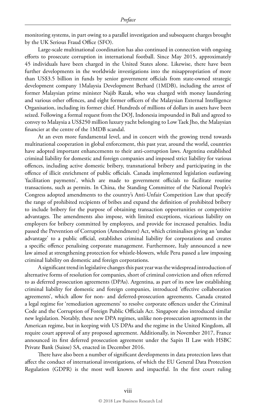monitoring systems, in part owing to a parallel investigation and subsequent charges brought by the UK Serious Fraud Office (SFO).

Large-scale multinational coordination has also continued in connection with ongoing efforts to prosecute corruption in international football. Since May 2015, approximately 45 individuals have been charged in the United States alone. Likewise, there have been further developments in the worldwide investigations into the misappropriation of more than US\$3.5 billion in funds by senior government officials from state-owned strategic development company 1Malaysia Development Berhard (1MDB), including the arrest of former Malaysian prime minister Najib Razak, who was charged with money laundering and various other offences, and eight former officers of the Malaysian External Intelligence Organisation, including its former chief. Hundreds of millions of dollars in assets have been seized. Following a formal request from the DOJ, Indonesia impounded in Bali and agreed to convey to Malaysia a US\$250 million luxury yacht belonging to Low Taek Jho, the Malaysian financier at the centre of the 1MDB scandal.

At an even more fundamental level, and in concert with the growing trend towards multinational cooperation in global enforcement, this past year, around the world, countries have adopted important enhancements to their anti-corruption laws. Argentina established criminal liability for domestic and foreign companies and imposed strict liability for various offences, including active domestic bribery, transnational bribery and participating in the offence of illicit enrichment of public officials. Canada implemented legislation outlawing 'facilitation payments', which are made to government officials to facilitate routine transactions, such as permits. In China, the Standing Committee of the National People's Congress adopted amendments to the country's Anti-Unfair Competition Law that specify the range of prohibited recipients of bribes and expand the definition of prohibited bribery to include bribery for the purpose of obtaining transaction opportunities or competitive advantages. The amendments also impose, with limited exceptions, vicarious liability on employers for bribery committed by employees, and provide for increased penalties. India passed the Prevention of Corruption (Amendment) Act, which criminalises giving an 'undue advantage' to a public official, establishes criminal liability for corporations and creates a specific offence penalising corporate management. Furthermore, Italy announced a new law aimed at strengthening protection for whistle-blowers, while Peru passed a law imposing criminal liability on domestic and foreign corporations.

A significant trend in legislative changes this past year was the widespread introduction of alternative forms of resolution for companies, short of criminal conviction and often referred to as deferred prosecution agreements (DPAs). Argentina, as part of its new law establishing criminal liability for domestic and foreign companies, introduced 'effective collaboration agreements', which allow for non- and deferred-prosecution agreements. Canada created a legal regime for 'remediation agreements' to resolve corporate offences under the Criminal Code and the Corruption of Foreign Public Officials Act. Singapore also introduced similar new legislation. Notably, these new DPA regimes, unlike non-prosecution agreements in the American regime, but in keeping with US DPAs and the regime in the United Kingdom, all require court approval of any proposed agreement. Additionally, in November 2017, France announced its first deferred prosecution agreement under the Sapin II Law with HSBC Private Bank (Suisse) SA, enacted in December 2016.

There have also been a number of significant developments in data protection laws that affect the conduct of international investigations, of which the EU General Data Protection Regulation (GDPR) is the most well known and impactful. In the first court ruling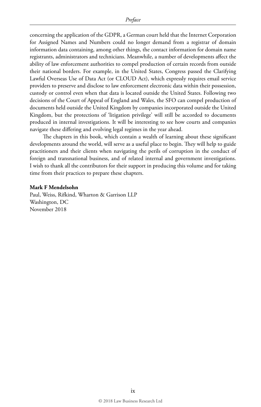concerning the application of the GDPR, a German court held that the Internet Corporation for Assigned Names and Numbers could no longer demand from a registrar of domain information data containing, among other things, the contact information for domain name registrants, administrators and technicians. Meanwhile, a number of developments affect the ability of law enforcement authorities to compel production of certain records from outside their national borders. For example, in the United States, Congress passed the Clarifying Lawful Overseas Use of Data Act (or CLOUD Act), which expressly requires email service providers to preserve and disclose to law enforcement electronic data within their possession, custody or control even when that data is located outside the United States. Following two decisions of the Court of Appeal of England and Wales, the SFO can compel production of documents held outside the United Kingdom by companies incorporated outside the United Kingdom, but the protections of 'litigation privilege' will still be accorded to documents produced in internal investigations. It will be interesting to see how courts and companies navigate these differing and evolving legal regimes in the year ahead.

The chapters in this book, which contain a wealth of learning about these significant developments around the world, will serve as a useful place to begin. They will help to guide practitioners and their clients when navigating the perils of corruption in the conduct of foreign and transnational business, and of related internal and government investigations. I wish to thank all the contributors for their support in producing this volume and for taking time from their practices to prepare these chapters.

#### **Mark F Mendelsohn**

Paul, Weiss, Rifkind, Wharton & Garrison LLP Washington, DC November 2018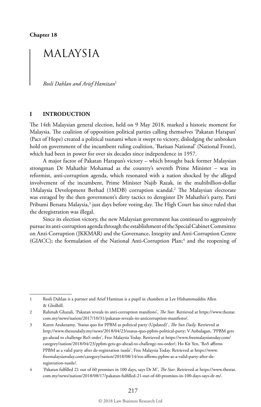**Chapter 18**

### MALAYSIA

*Rosli Dahlan and Arief Hamizan*<sup>1</sup>

#### **I INTRODUCTION**

The 14th Malaysian general election, held on 9 May 2018, marked a historic moment for Malaysia. The coalition of opposition political parties calling themselves 'Pakatan Harapan' (Pact of Hope) created a political tsunami when it swept to victory, dislodging the unbroken hold on government of the incumbent ruling coalition, 'Barisan National' (National Front), which had been in power for over six decades since independence in 1957.

A major factor of Pakatan Harapan's victory – which brought back former Malaysian strongman Dr Mahathir Mohamad as the country's seventh Prime Minister – was its reformist, anti-corruption agenda, which resonated with a nation shocked by the alleged involvement of the incumbent, Prime Minister Najib Razak, in the multibillion-dollar 1Malaysia Development Berhad (1MDB) corruption scandal.<sup>2</sup> The Malaysian electorate was enraged by the then government's dirty tactics to deregister Dr Mahathir's party, Parti Pribumi Bersatu Malaysia,<sup>3</sup> just days before voting day. The High Court has since ruled that the deregistration was illegal.

Since its election victory, the new Malaysian government has continued to aggressively pursue its anti-corruption agenda through the establishment of the Special Cabinet Committee on Anti-Corruption (JKKMAR) and the Governance, Integrity and Anti-Corruption Centre (GIACC); the formulation of the National Anti-Corruption Plan;<sup>4</sup> and the reopening of

1 Rosli Dahlan is a partner and Arief Hamizan is a pupil in chambers at Lee Hishammuddin Allen & Gledhill.

<sup>2</sup> Rahmah Ghazali, 'Pakatan reveals its anti-corruption manifesto', *The Star*. Retrieved at https://www.thestar. com.my/news/nation/2017/10/31/pakatan-reveals-its-anticorruption-manifesto/.

<sup>3</sup> Karen Arukesamy, 'Status quo for PPBM as political party (Updated)', *The Sun Daily*. Retrieved at http://www.thesundaily.my/news/2018/04/23/status-quo-ppbm-political-party; V Anbalagan, 'PPBM gets go-ahead to challenge RoS order', Free Malaysia Today. Retrieved at https://www.freemalaysiatoday.com/ category/nation/2018/04/23/ppbm-gets-go-ahead-to-challenge-ros-order/; Ho Kit Yen, 'RoS affirms PPBM as a valid party after de-registration tussle', Free Malaysia Today. Retrieved at https://www. freemalaysiatoday.com/category/nation/2018/08/14/ros-affirms-ppbm-as-a-valid-party-after-deregistration-tussle/.

<sup>4</sup> 'Pakatan fulfilled 21 out of 60 promises in 100 days, says Dr M', *The Star*. Retrieved at https://www.thestar. com.my/news/nation/2018/08/17/pakatan-fulfilled-21-out-of-60-promises-in-100-days-says-dr-m/.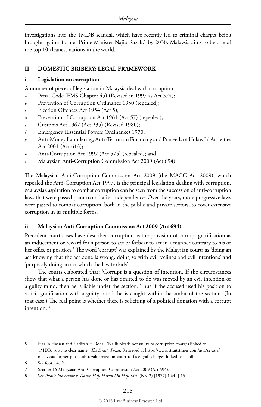investigations into the 1MDB scandal, which have recently led to criminal charges being brought against former Prime Minister Najib Razak.<sup>5</sup> By 2030, Malaysia aims to be one of the top 10 cleanest nations in the world.<sup>6</sup>

#### **II DOMESTIC BRIBERY: LEGAL FRAMEWORK**

#### **i Legislation on corruption**

A number of pieces of legislation in Malaysia deal with corruption:

- *a* Penal Code (FMS Chapter 45) (Revised in 1997 as Act 574);
- *b* Prevention of Corruption Ordinance 1950 (repealed);
- *c* Election Offences Act 1954 (Act 5);
- *d* Prevention of Corruption Act 1961 (Act 57) (repealed);
- *e* Customs Act 1967 (Act 235) (Revised 1980);
- *f* Emergency (Essential Powers Ordinance) 1970;
- *g* Anti-Money Laundering, Anti-Terrorism Financing and Proceeds of Unlawful Activities Act 2001 (Act 613);
- *h* Anti-Corruption Act 1997 (Act 575) (repealed); and
- *i* Malaysian Anti-Corruption Commission Act 2009 (Act 694).

The Malaysian Anti-Corruption Commission Act 2009 (the MACC Act 2009), which repealed the Anti-Corruption Act 1997, is the principal legislation dealing with corruption. Malaysia's aspiration to combat corruption can be seen from the succession of anti-corruption laws that were passed prior to and after independence. Over the years, more progressive laws were passed to combat corruption, both in the public and private sectors, to cover extensive corruption in its multiple forms.

#### **ii Malaysian Anti-Corruption Commission Act 2009 (Act 694)**

Precedent court cases have described corruption as the provision of corrupt gratification as an inducement or reward for a person to act or forbear to act in a manner contrary to his or her office or position.7 The word 'corrupt' was explained by the Malaysian courts as 'doing an act knowing that the act done is wrong, doing so with evil feelings and evil intentions' and 'purposely doing an act which the law forbids'.

The courts elaborated that: 'Corrupt is a question of intention. If the circumstances show that what a person has done or has omitted to do was moved by an evil intention or a guilty mind, then he is liable under the section. Thus if the accused used his position to solicit gratification with a guilty mind, he is caught within the ambit of the section. (In that case.) The real point is whether there is soliciting of a political donation with a corrupt intention.'8

<sup>5</sup> Hazlin Hassan and Nadirah H Rodzi, 'Najib pleads not guilty to corruption charges linked to 1MDB, vows to clear name', *The Straits Times*. Retrieved at https://www.straitstimes.com/asia/se-asia/ malaysias-former-pm-najib-razak-arrives-in-court-to-face-graft-charges-linked-to-1mdb.

<sup>6</sup> See footnote 2.

<sup>7</sup> Section 16 Malaysian Anti-Corruption Commission Act 2009 (Act 694).

<sup>8</sup> See *Public Prosecutor v. Datuk Haji Harun bin Haji Idris* (No. 2) [1977] 1 MLJ 15.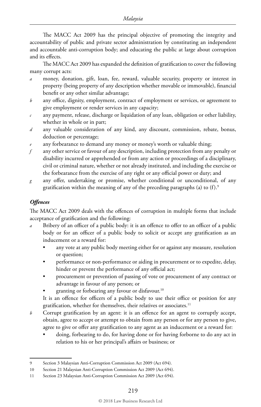The MACC Act 2009 has the principal objective of promoting the integrity and accountability of public and private sector administration by constituting an independent and accountable anti-corruption body; and educating the public at large about corruption and its effects.

The MACC Act 2009 has expanded the definition of gratification to cover the following many corrupt acts:

- money, donation, gift, loan, fee, reward, valuable security, property or interest in property (being property of any description whether movable or immovable), financial benefit or any other similar advantage;
- *b* any office, dignity, employment, contract of employment or services, or agreement to give employment or render services in any capacity;
- *c* any payment, release, discharge or liquidation of any loan, obligation or other liability, whether in whole or in part;
- *d* any valuable consideration of any kind, any discount, commission, rebate, bonus, deduction or percentage;
- any forbearance to demand any money or money's worth or valuable thing;
- *f* any other service or favour of any description, including protection from any penalty or disability incurred or apprehended or from any action or proceedings of a disciplinary, civil or criminal nature, whether or not already instituted, and including the exercise or the forbearance from the exercise of any right or any official power or duty; and
- *g* any offer, undertaking or promise, whether conditional or unconditional, of any gratification within the meaning of any of the preceding paragraphs (a) to  $(f)$ .<sup>9</sup>

#### *Offences*

The MACC Act 2009 deals with the offences of corruption in multiple forms that include acceptance of gratification and the following:

- Bribery of an officer of a public body: it is an offence to offer to an officer of a public body or for an officer of a public body to solicit or accept any gratification as an inducement or a reward for:
	- any vote at any public body meeting either for or against any measure, resolution or question;
	- performance or non-performance or aiding in procurement or to expedite, delay, hinder or prevent the performance of any official act;
	- procurement or prevention of passing of vote or procurement of any contract or advantage in favour of any person; or
	- granting or forbearing any favour or disfavour.<sup>10</sup>

It is an offence for officers of a public body to use their office or position for any gratification, whether for themselves, their relatives or associates.<sup>11</sup>

- *b* Corrupt gratification by an agent: it is an offence for an agent to corruptly accept, obtain, agree to accept or attempt to obtain from any person or for any person to give, agree to give or offer any gratification to any agent as an inducement or a reward for:
	- doing, forbearing to do, for having done or for having forborne to do any act in relation to his or her principal's affairs or business; or

<sup>9</sup> Section 3 Malaysian Anti-Corruption Commission Act 2009 (Act 694).

<sup>10</sup> Section 21 Malaysian Anti-Corruption Commission Act 2009 (Act 694).

<sup>11</sup> Section 23 Malaysian Anti-Corruption Commission Act 2009 (Act 694).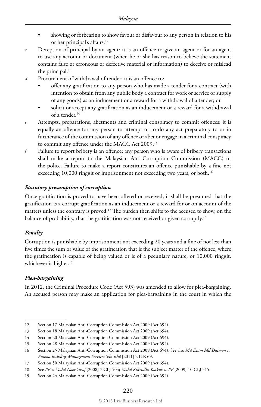- showing or forbearing to show favour or disfavour to any person in relation to his or her principal's affairs.<sup>12</sup>
- *c* Deception of principal by an agent: it is an offence to give an agent or for an agent to use any account or document (when he or she has reason to believe the statement contains false or erroneous or defective material or information) to deceive or mislead the principal.<sup>13</sup>
- *d* Procurement of withdrawal of tender: it is an offence to:
	- offer any gratification to any person who has made a tender for a contract (with intention to obtain from any public body a contract for work or service or supply of any goods) as an inducement or a reward for a withdrawal of a tender; or
	- solicit or accept any gratification as an inducement or a reward for a withdrawal of a tender.14
- *e* Attempts, preparations, abetments and criminal conspiracy to commit offences: it is equally an offence for any person to attempt or to do any act preparatory to or in furtherance of the commission of any offence or abet or engage in a criminal conspiracy to commit any offence under the MACC Act 2009.15
- *f* Failure to report bribery is an offence: any person who is aware of bribery transactions shall make a report to the Malaysian Anti-Corruption Commission (MACC) or the police. Failure to make a report constitutes an offence punishable by a fine not exceeding 10,000 ringgit or imprisonment not exceeding two years, or both.<sup>16</sup>

#### *Statutory presumption of corruption*

Once gratification is proved to have been offered or received, it shall be presumed that the gratification is a corrupt gratification as an inducement or a reward for or on account of the matters unless the contrary is proved.17 The burden then shifts to the accused to show, on the balance of probability, that the gratification was not received or given corruptly.<sup>18</sup>

#### *Penalty*

Corruption is punishable by imprisonment not exceeding 20 years and a fine of not less than five times the sum or value of the gratification that is the subject matter of the offence, where the gratification is capable of being valued or is of a pecuniary nature, or 10,000 ringgit, whichever is higher.<sup>19</sup>

#### *Plea-bargaining*

In 2012, the Criminal Procedure Code (Act 593) was amended to allow for plea-bargaining. An accused person may make an application for plea-bargaining in the court in which the

<sup>12</sup> Section 17 Malaysian Anti-Corruption Commission Act 2009 (Act 694).

<sup>13</sup> Section 18 Malaysian Anti-Corruption Commission Act 2009 (Act 694).

<sup>14</sup> Section 20 Malaysian Anti-Corruption Commission Act 2009 (Act 694).

<sup>15</sup> Section 28 Malaysian Anti-Corruption Commission Act 2009 (Act 694).

<sup>16</sup> Section 25 Malaysian Anti-Corruption Commission Act 2009 (Act 694); See also *Md Ezam Md Daimon v. Amona Building Management Services Sdn Bhd* [2011] 2 ILR 69.

<sup>17</sup> Section 50 Malaysian Anti-Corruption Commission Act 2009 (Act 694).

<sup>18</sup> See *PP v. Mohd Noor Yusof* [2008] 7 CLJ 504; *Mohd Khirudin Yaakub v. PP* [2009] 10 CLJ 315.

<sup>19</sup> Section 24 Malaysian Anti-Corruption Commission Act 2009 (Act 694).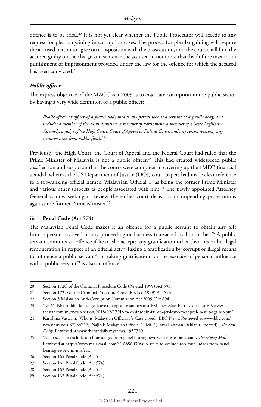offence is to be tried.<sup>20</sup> It is not yet clear whether the Public Prosecutor will accede to any request for plea-bargaining in corruption cases. The process for plea-bargaining will require the accused person to agree on a disposition with the prosecution, and the court shall find the accused guilty on the charge and sentence the accused to not more than half of the maximum punishment of imprisonment provided under the law for the offence for which the accused has been convicted.<sup>21</sup>

#### *Public officer*

The express objective of the MACC Act 2009 is to eradicate corruption in the public sector by having a very wide definition of a public officer:

*Public officer or officer of a public body means any person who is a servant of a public body, and includes a member of the administration, a member of Parliament, a member of a State Legislative Assembly, a judge of the High Court, Court of Appeal or Federal Court, and any person receiving any remuneration from public funds.*<sup>22</sup>

Previously, the High Court, the Court of Appeal and the Federal Court had ruled that the Prime Minister of Malaysia is not a public officer.<sup>23</sup> This had created widespread public disaffection and suspicion that the courts were complicit in covering up the 1MDB financial scandal, whereas the US Department of Justice (DOJ) court papers had made clear reference to a top-ranking official named 'Malaysian Official 1' as being the former Prime Minister and various other suspects as people associated with  $\lim_{n \to \infty} 24$  The newly appointed Attorney General is now seeking to review the earlier court decisions in impending prosecutions against the former Prime Minister.25

#### **iii Penal Code (Act 574)**

The Malaysian Penal Code makes it an offence for a public servant to obtain any gift from a person involved in any proceeding or business transacted by him or her.<sup>26</sup> A public servant commits an offence if he or she accepts any gratification other than his or her legal remuneration in respect of an official act.<sup>27</sup> Taking a gratification by corrupt or illegal means to influence a public servant<sup>28</sup> or taking gratification for the exercise of personal influence with a public servant<sup>29</sup> is also an offence.

<sup>20</sup> Section 172C of the Criminal Procedure Code (Revised 1999) Act 593.

<sup>21</sup> Section 172D of the Criminal Procedure Code (Revised 1999) Act 593.

<sup>22</sup> Section 3 Malaysian Anti-Corruption Commission Act 2009 (Act 694).

<sup>23</sup> 'Dr M, Khairuddin fail to get leave to appeal in suit against PM', *The Star*. Retrieved at https://www. thestar.com.my/news/nation/2018/02/27/dr-m-khairuddin-fail-to-get-leave-to-appeal-in-suit-against-pm/.

<sup>24</sup> Karishma Vaswani, 'Who is 'Malaysian Official 1'? Case closed', BBC News. Retrieved at www.bbc.com/ news/business-37234717; 'Najib is Malaysian Official 1 (MO1), says Rahman Dahlan (Updated)', *The Sun Daily*. Retrieved at www.thesundaily.my/news/1957789.

<sup>25</sup> 'Najib seeks to exclude top four judges from panel hearing review in misfeasance suit', *The Malay Mail*. Retrieved at https://www.malaymail.com/s/1659603/najib-seeks-to-exclude-top-four-judges-from-panelhearing-review-in-misfeas.

<sup>26</sup> Section 165 Penal Code (Act 574).

<sup>27</sup> Section 161 Penal Code (Act 574).

<sup>28</sup> Section 162 Penal Code (Act 574).

<sup>29</sup> Section 163 Penal Code (Act 574).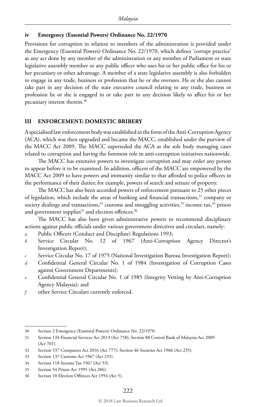#### **iv Emergency (Essential Powers) Ordinance No. 22/1970**

Provisions for corruption in relation to members of the administration is provided under the Emergency (Essential Powers) Ordinance No. 22/1970, which defines 'corrupt practice' as any act done by any member of the administration or any member of Parliament or state legislative assembly member or any public officer who uses his or her public office for his or her pecuniary or other advantage. A member of a state legislative assembly is also forbidden to engage in any trade, business or profession that he or she oversees. He or she also cannot take part in any decision of the state executive council relating to any trade, business or profession he or she is engaged in or take part in any decision likely to affect his or her pecuniary interest therein.30

#### **III ENFORCEMENT: DOMESTIC BRIBERY**

A specialised law enforcement body was established in the form of the Anti-Corruption Agency (ACA), which was then upgraded and became the MACC, established under the purview of the MACC Act 2009. The MACC superseded the ACA as the sole body managing cases related to corruption and having the foremost role in anti-corruption initiatives nationwide.

The MACC has extensive powers to investigate corruption and may order any person to appear before it to be examined. In addition, officers of the MACC are empowered by the MACC Act 2009 to have powers and immunity similar to that afforded to police officers in the performance of their duties; for example, powers of search and seizure of property.

The MACC has also been accorded powers of enforcement pursuant to 25 other pieces of legislation, which include the areas of banking and financial transactions,<sup>31</sup> company or society dealings and transactions,<sup>32</sup> customs and smuggling activities,<sup>33</sup> income tax,<sup>34</sup> prison and government supplies<sup>35</sup> and election offences.<sup>36</sup>

The MACC has also been given administrative powers to recommend disciplinary actions against public officials under various government directives and circulars, namely:

- *a* Public Officers (Conduct and Discipline) Regulations 1993;
- *b* Service Circular No. 12 of 1967 (Anti-Corruption Agency Director's Investigation Report);
- *c* Service Circular No. 17 of 1975 (National Investigation Bureau Investigation Report);
- *d* Confidential General Circular No. 1 of 1984 (Investigation of Corruption Cases against Government Departments);
- *e* Confidential General Circular No. 1 of 1985 (Integrity Vetting by Anti-Corruption Agency Malaysia); and
- *f* other Service Circulars currently enforced.

<sup>30</sup> Section 2 Emergency (Essential Powers) Ordinance No. 22/1970.

<sup>31</sup> Section 134 Financial Services Act 2013 (Act 758); Section 88 Central Bank of Malaysia Act 2009 (Act 701).

<sup>32</sup> Section 537 Companies Act 2016 (Act 777); Section 46 Societies Act 1966 (Act 235).

<sup>33</sup> Section 137 Customs Act 1967 (Act 235).

<sup>34</sup> Section 118 Income Tax 1967 (Act 53).

<sup>35</sup> Section 54 Prison Act 1995 (Act 206).

<sup>36</sup> Section 10 Election Offences Act 1954 (Act 5).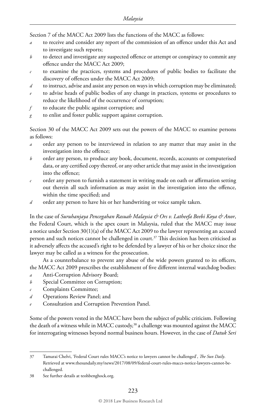Section 7 of the MACC Act 2009 lists the functions of the MACC as follows:

- *a* to receive and consider any report of the commission of an offence under this Act and to investigate such reports;
- *b* to detect and investigate any suspected offence or attempt or conspiracy to commit any offence under the MACC Act 2009;
- *c* to examine the practices, systems and procedures of public bodies to facilitate the discovery of offences under the MACC Act 2009;
- *d* to instruct, advise and assist any person on ways in which corruption may be eliminated;
- to advise heads of public bodies of any change in practices, systems or procedures to reduce the likelihood of the occurrence of corruption;
- *f* to educate the public against corruption; and
- *g* to enlist and foster public support against corruption.

Section 30 of the MACC Act 2009 sets out the powers of the MACC to examine persons as follows:

- *a* order any person to be interviewed in relation to any matter that may assist in the investigation into the offence;
- *b* order any person, to produce any book, document, records, accounts or computerised data, or any certified copy thereof, or any other article that may assist in the investigation into the offence;
- *c* order any person to furnish a statement in writing made on oath or affirmation setting out therein all such information as may assist in the investigation into the offence, within the time specified; and
- *d* order any person to have his or her handwriting or voice sample taken.

In the case of *Suruhanjaya Pencegahan Rasuah Malaysia & Ors v. Latheefa Beebi Koya & Anor*, the Federal Court, which is the apex court in Malaysia, ruled that the MACC may issue a notice under Section 30(1)(a) of the MACC Act 2009 to the lawyer representing an accused person and such notices cannot be challenged in court.<sup>37</sup> This decision has been criticised as it adversely affects the accused's right to be defended by a lawyer of his or her choice since the lawyer may be called as a witness for the prosecution.

As a counterbalance to prevent any abuse of the wide powers granted to its officers, the MACC Act 2009 prescribes the establishment of five different internal watchdog bodies:

- Anti-Corruption Advisory Board;
- *b* Special Committee on Corruption;
- *c* Complaints Committee;
- *d* Operations Review Panel; and
- Consultation and Corruption Prevention Panel.

Some of the powers vested in the MACC have been the subject of public criticism. Following the death of a witness while in MACC custody,<sup>38</sup> a challenge was mounted against the MACC for interrogating witnesses beyond normal business hours. However, in the case of *Datuk Seri* 

<sup>37</sup> Tamarai Chelvi, 'Federal Court rules MACC's notice to lawyers cannot be challenged', *The Sun Daily*. Retrieved at www.thesundaily.my/news/2017/08/09/federal-court-rules-maccs-notice-lawyers-cannot-bechallenged.

<sup>38</sup> See further details at teohbenghock.org.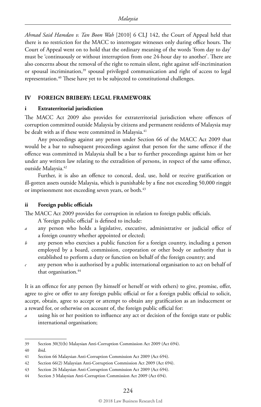*Ahmad Said Hamdan v. Tan Boon Wah* [2010] 6 CLJ 142, the Court of Appeal held that there is no restriction for the MACC to interrogate witnesses only during office hours. The Court of Appeal went on to hold that the ordinary meaning of the words 'from day to day' must be 'continuously or without interruption from one 24-hour day to another'. There are also concerns about the removal of the right to remain silent, right against self-incrimination or spousal incrimination,<sup>39</sup> spousal privileged communication and right of access to legal representation.40 These have yet to be subjected to constitutional challenges.

#### **IV FOREIGN BRIBERY: LEGAL FRAMEWORK**

#### **i Extraterritorial jurisdiction**

The MACC Act 2009 also provides for extraterritorial jurisdiction where offences of corruption committed outside Malaysia by citizens and permanent residents of Malaysia may be dealt with as if these were committed in Malaysia.<sup>41</sup>

Any proceedings against any person under Section 66 of the MACC Act 2009 that would be a bar to subsequent proceedings against that person for the same offence if the offence was committed in Malaysia shall be a bar to further proceedings against him or her under any written law relating to the extradition of persons, in respect of the same offence, outside Malaysia.42

Further, it is also an offence to conceal, deal, use, hold or receive gratification or ill-gotten assets outside Malaysia, which is punishable by a fine not exceeding 50,000 ringgit or imprisonment not exceeding seven years, or both.<sup>43</sup>

#### **ii Foreign public officials**

The MACC Act 2009 provides for corruption in relation to foreign public officials.

A 'foreign public official' is defined to include:

- *a* any person who holds a legislative, executive, administrative or judicial office of a foreign country whether appointed or elected;
- *b* any person who exercises a public function for a foreign country, including a person employed by a board, commission, corporation or other body or authority that is established to perform a duty or function on behalf of the foreign country; and
- *c* any person who is authorised by a public international organisation to act on behalf of that organisation.<sup>44</sup>

It is an offence for any person (by himself or herself or with others) to give, promise, offer, agree to give or offer to any foreign public official or for a foreign public official to solicit, accept, obtain, agree to accept or attempt to obtain any gratification as an inducement or a reward for, or otherwise on account of, the foreign public official for:

*a* using his or her position to influence any act or decision of the foreign state or public international organisation;

<sup>39</sup> Section 30(3)(b) Malaysian Anti-Corruption Commission Act 2009 (Act 694).

<sup>40</sup> ibid.

<sup>41</sup> Section 66 Malaysian Anti-Corruption Commission Act 2009 (Act 694).

<sup>42</sup> Section 66(2) Malaysian Anti-Corruption Commission Act 2009 (Act 694).

<sup>43</sup> Section 26 Malaysian Anti-Corruption Commission Act 2009 (Act 694).

<sup>44</sup> Section 3 Malaysian Anti-Corruption Commission Act 2009 (Act 694).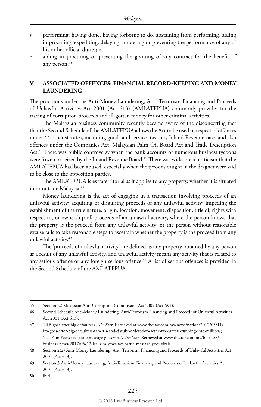- *b* performing, having done, having forborne to do, abstaining from performing, aiding in procuring, expediting, delaying, hindering or preventing the performance of any of his or her official duties; or
- *c* aiding in procuring or preventing the granting of any contract for the benefit of any person.<sup>45</sup>

#### **V ASSOCIATED OFFENCES: FINANCIAL RECORD-KEEPING AND MONEY LAUNDERING**

The provisions under the Anti-Money Laundering, Anti-Terrorism Financing and Proceeds of Unlawful Activities Act 2001 (Act 613) (AMLATFPUA) commonly provides for the tracing of corruption proceeds and ill-gotten money for other criminal activities.

The Malaysian business community recently became aware of the disconcerting fact that the Second Schedule of the AMLATFPUA allows the Act to be used in respect of offences under 44 other statutes, including goods and services tax, tax, Inland Revenue cases and also offences under the Companies Act, Malaysian Palm Oil Board Act and Trade Description Act.<sup>46</sup> There was public controversy when the bank accounts of numerous business tycoons were frozen or seized by the Inland Revenue Board.<sup>47</sup> There was widespread criticism that the AMLATFPUA had been abused, especially when the tycoons caught in the dragnet were said to be close to the opposition parties.

The AMLATFPUA is extraterritorial as it applies to any property, whether it is situated in or outside Malaysia.<sup>48</sup>

Money laundering is the act of engaging in a transaction involving proceeds of an unlawful activity; acquiring or disguising proceeds of any unlawful activity; impeding the establishment of the true nature, origin, location, movement, disposition, title of, rights with respect to, or ownership of, proceeds of an unlawful activity, where the person knows that the property is the proceed from any unlawful activity; or the person without reasonable excuse fails to take reasonable steps to ascertain whether the property is the proceed from any unlawful activity.49

The 'proceeds of unlawful activity' are defined as any property obtained by any person as a result of any unlawful activity, and unlawful activity means any activity that is related to any serious offence or any foreign serious offence.<sup>50</sup> A list of serious offences is provided in the Second Schedule of the AMLATFPUA.

50 ibid.

<sup>45</sup> Section 22 Malaysian Anti-Corruption Commission Act 2009 (Act 694).

<sup>46</sup> Second Schedule Anti-Money Laundering, Anti-Terrorism Financing and Proceeds of Unlawful Activities Act 2001 (Act 613).

<sup>47</sup> 'IRB goes after big defaulters', *The Star*. Retrieved at www.thestar.com.my/news/nation/2017/05/11/ irb-goes-after-big-defaulters-tan-sris-and-datuks-ordered-to-settle-tax-arrears-running-into-million/; 'Lee Kim Yew's tax battle message goes viral', *The Star*. Retrieved at www.thestar.com.my/business/ business-news/2017/05/12/lee-kim-yews-tax-battle-message-goes-viral/.

<sup>48</sup> Section 2(2) Anti-Money Laundering, Anti-Terrorism Financing and Proceeds of Unlawful Activities Act 2001 (Act 613).

<sup>49</sup> Section 3 Anti-Money Laundering, Anti-Terrorism Financing and Proceeds of Unlawful Activities Act 2001 (Act 613).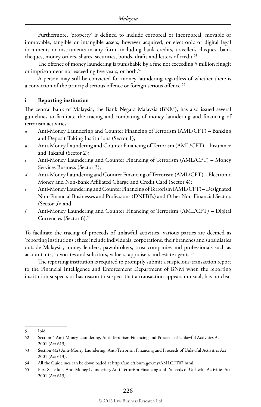Furthermore, 'property' is defined to include corporeal or incorporeal, movable or immovable, tangible or intangible assets, however acquired, or electronic or digital legal documents or instruments in any form, including bank credits, traveller's cheques, bank cheques, money orders, shares, securities, bonds, drafts and letters of credit.<sup>51</sup>

The offence of money laundering is punishable by a fine not exceeding 5 million ringgit or imprisonment not exceeding five years, or both.<sup>52</sup>

A person may still be convicted for money laundering regardless of whether there is a conviction of the principal serious offence or foreign serious offence.<sup>53</sup>

#### **i Reporting institution**

The central bank of Malaysia, the Bank Negara Malaysia (BNM), has also issued several guidelines to facilitate the tracing and combating of money laundering and financing of terrorism activities:

- *a* Anti-Money Laundering and Counter Financing of Terrorism (AML/CFT) Banking and Deposit-Taking Institutions (Sector 1);
- *b* Anti-Money Laundering and Counter Financing of Terrorism (AML/CFT) Insurance and Takaful (Sector 2);
- *c* Anti-Money Laundering and Counter Financing of Terrorism (AML/CFT) Money Services Business (Sector 3);
- *d* Anti-Money Laundering and Counter Financing of Terrorism (AML/CFT) Electronic Money and Non-Bank Affiliated Charge and Credit Card (Sector 4);
- *e* Anti-Money Laundering and Counter Financing of Terrorism (AML/CFT) Designated Non-Financial Businesses and Professions (DNFBPs) and Other Non-Financial Sectors (Sector 5); and
- *f* Anti-Money Laundering and Counter Financing of Terrorism (AML/CFT) Digital Currencies (Sector 6).54

To facilitate the tracing of proceeds of unlawful activities, various parties are deemed as 'reporting institutions'; these include individuals, corporations, their branches and subsidiaries outside Malaysia, money lenders, pawnbrokers, trust companies and professionals such as accountants, advocates and solicitors, valuers, appraisers and estate agents.<sup>55</sup>

The reporting institution is required to promptly submit a suspicious-transaction report to the Financial Intelligence and Enforcement Department of BNM when the reporting institution suspects or has reason to suspect that a transaction appears unusual, has no clear

<sup>51</sup> Ibid.

<sup>52</sup> Section 4 Anti-Money Laundering, Anti-Terrorism Financing and Proceeds of Unlawful Activities Act 2001 (Act 613).

<sup>53</sup> Section 4(2) Anti-Money Laundering, Anti-Terrorism Financing and Proceeds of Unlawful Activities Act 2001 (Act 613).

<sup>54</sup> All the Guidelines can be downloaded at http://amlcft.bnm.gov.my/AMLCFT07.html.

<sup>55</sup> First Schedule, Anti-Money Laundering, Anti-Terrorism Financing and Proceeds of Unlawful Activities Act 2001 (Act 613).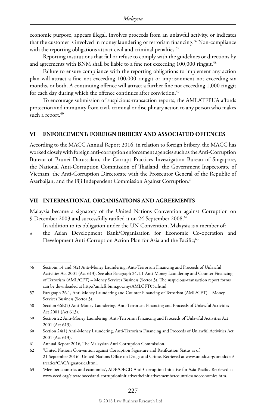economic purpose, appears illegal, involves proceeds from an unlawful activity, or indicates that the customer is involved in money laundering or terrorism financing.<sup>56</sup> Non-compliance with the reporting obligations attract civil and criminal penalties.<sup>57</sup>

Reporting institutions that fail or refuse to comply with the guidelines or directions by and agreements with BNM shall be liable to a fine not exceeding 100,000 ringgit.<sup>58</sup>

Failure to ensure compliance with the reporting obligations to implement any action plan will attract a fine not exceeding 100,000 ringgit or imprisonment not exceeding six months, or both. A continuing offence will attract a further fine not exceeding 1,000 ringgit for each day during which the offence continues after conviction.<sup>59</sup>

To encourage submission of suspicious-transaction reports, the AMLATFPUA affords protection and immunity from civil, criminal or disciplinary action to any person who makes such a report.<sup>60</sup>

#### **VI ENFORCEMENT: FOREIGN BRIBERY AND ASSOCIATED OFFENCES**

According to the MACC Annual Report 2016, in relation to foreign bribery, the MACC has worked closely with foreign anti-corruption enforcement agencies such as the Anti-Corruption Bureau of Brunei Darussalam, the Corrupt Practices Investigation Bureau of Singapore, the National Anti-Corruption Commission of Thailand, the Government Inspectorate of Vietnam, the Anti-Corruption Directorate with the Prosecutor General of the Republic of Azerbaijan, and the Fiji Independent Commission Against Corruption.<sup>61</sup>

#### **VII INTERNATIONAL ORGANISATIONS AND AGREEMENTS**

Malaysia became a signatory of the United Nations Convention against Corruption on 9 December 2003 and successfully ratified it on 24 September 2008.<sup>62</sup>

In addition to its obligation under the UN Convention, Malaysia is a member of:

*a* the Asian Development Bank/Organisation for Economic Co-operation and Development Anti-Corruption Action Plan for Asia and the Pacific;<sup>63</sup>

63 'Member countries and economies', ADB/OECD Anti-Corruption Initiative for Asia-Pacific. Retrieved at www.oecd.org/site/adboecdanti-corruptioninitiative/theinitiativesmembercountriesandeconomies.htm.

<sup>56</sup> Sections 14 and 5(2) Anti-Money Laundering, Anti-Terrorism Financing and Proceeds of Unlawful Activities Act 2001 (Act 613). See also Paragraph 24.1.1 Anti-Money Laundering and Counter Financing of Terrorism (AML/CFT) – Money Services Business (Sector 3). The suspicious-transaction report forms can be downloaded at http://amlcft.bnm.gov.my/AMLCFT05a.html.

<sup>57</sup> Paragraph 26.1, Anti-Money Laundering and Counter Financing of Terrorism (AML/CFT) – Money Services Business (Sector 3).

<sup>58</sup> Section 66E(5) Anti-Money Laundering, Anti-Terrorism Financing and Proceeds of Unlawful Activities Act 2001 (Act 613).

<sup>59</sup> Section 22 Anti-Money Laundering, Anti-Terrorism Financing and Proceeds of Unlawful Activities Act 2001 (Act 613).

<sup>60</sup> Section 24(1) Anti-Money Laundering, Anti-Terrorism Financing and Proceeds of Unlawful Activities Act 2001 (Act 613).

<sup>61</sup> Annual Report 2016, The Malaysian Anti-Corruption Commission.

<sup>62</sup> 'United Nations Convention against Corruption Signature and Ratification Status as of 21 September 2016', United Nations Office on Drugs and Crime. Retrieved at www.unodc.org/unodc/en/ treaties/CAC/signatories.html.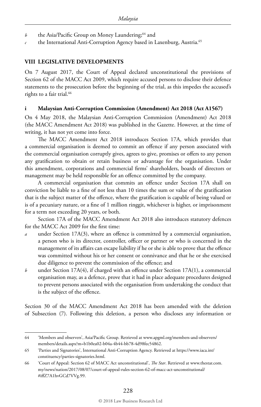- *b* the Asia/Pacific Group on Money Laundering;<sup>64</sup> and
- *c* the International Anti-Corruption Agency based in Laxenburg, Austria.65

#### **VIII LEGISLATIVE DEVELOPMENTS**

On 7 August 2017, the Court of Appeal declared unconstitutional the provisions of Section 62 of the MACC Act 2009, which require accused persons to disclose their defence statements to the prosecution before the beginning of the trial, as this impedes the accused's rights to a fair trial.<sup>66</sup>

#### **i Malaysian Anti-Corruption Commission (Amendment) Act 2018 (Act A1567)**

On 4 May 2018, the Malaysian Anti-Corruption Commission (Amendment) Act 2018 (the MACC Amendment Act 2018) was published in the Gazette. However, at the time of writing, it has not yet come into force.

The MACC Amendment Act 2018 introduces Section 17A, which provides that a commercial organisation is deemed to commit an offence if any person associated with the commercial organisation corruptly gives, agrees to give, promises or offers to any person any gratification to obtain or retain business or advantage for the organisation. Under this amendment, corporations and commercial firms' shareholders, boards of directors or management may be held responsible for an offence committed by the company.

A commercial organisation that commits an offence under Section 17A shall on conviction be liable to a fine of not less than 10 times the sum or value of the gratification that is the subject matter of the offence, where the gratification is capable of being valued or is of a pecuniary nature, or a fine of 1 million ringgit, whichever is higher, or imprisonment for a term not exceeding 20 years, or both.

Section 17A of the MACC Amendment Act 2018 also introduces statutory defences for the MACC Act 2009 for the first time:

- *a* under Section 17A(3), where an offence is committed by a commercial organisation, a person who is its director, controller, officer or partner or who is concerned in the management of its affairs can escape liability if he or she is able to prove that the offence was committed without his or her consent or connivance and that he or she exercised due diligence to prevent the commission of the offence; and
- *b* under Section 17A(4), if charged with an offence under Section 17A(1), a commercial organisation may, as a defence, prove that it had in place adequate procedures designed to prevent persons associated with the organisation from undertaking the conduct that is the subject of the offence.

Section 30 of the MACC Amendment Act 2018 has been amended with the deletion of Subsection (7). Following this deletion, a person who discloses any information or

<sup>64</sup> 'Members and observers', Asia/Pacific Group. Retrieved at www.apgml.org/members-and-observers/ members/details.aspx?m=b1b0ea02-b04a-4b44-bb78-4d98fec54862.

<sup>65</sup> 'Parties and Signatories', International Anti-Corruption Agency. Retrieved at https://www.iaca.int/ constituency/parties-signatories.html.

<sup>66</sup> 'Court of Appeal: Section 62 of MACC Act unconstitutional', *The Star*. Retrieved at www.thestar.com. my/news/nation/2017/08/07/court-of-appeal-rules-section-62-of-macc-act-unconstitutional/ #iffZ7A1hvGCd7VVg.99.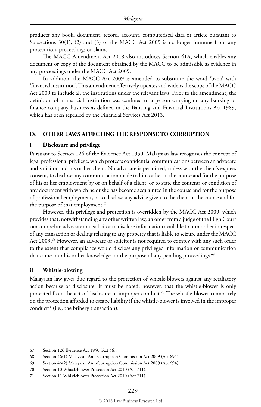produces any book, document, record, account, computerised data or article pursuant to Subsections  $30(1)$ , (2) and (3) of the MACC Act 2009 is no longer immune from any prosecution, proceedings or claims.

The MACC Amendment Act 2018 also introduces Section 41A, which enables any document or copy of the document obtained by the MACC to be admissible as evidence in any proceedings under the MACC Act 2009.

In addition, the MACC Act 2009 is amended to substitute the word 'bank' with 'financial institution'. This amendment effectively updates and widens the scope of the MACC Act 2009 to include all the institutions under the relevant laws. Prior to the amendment, the definition of a financial institution was confined to a person carrying on any banking or finance company business as defined in the Banking and Financial Institutions Act 1989, which has been repealed by the Financial Services Act 2013.

#### **IX OTHER LAWS AFFECTING THE RESPONSE TO CORRUPTION**

#### **i Disclosure and privilege**

Pursuant to Section 126 of the Evidence Act 1950, Malaysian law recognises the concept of legal professional privilege, which protects confidential communications between an advocate and solicitor and his or her client. No advocate is permitted, unless with the client's express consent, to disclose any communication made to him or her in the course and for the purpose of his or her employment by or on behalf of a client, or to state the contents or condition of any document with which he or she has become acquainted in the course and for the purpose of professional employment, or to disclose any advice given to the client in the course and for the purpose of that employment.<sup>67</sup>

However, this privilege and protection is overridden by the MACC Act 2009, which provides that, notwithstanding any other written law, an order from a judge of the High Court can compel an advocate and solicitor to disclose information available to him or her in respect of any transaction or dealing relating to any property that is liable to seizure under the MACC Act 2009.<sup>68</sup> However, an advocate or solicitor is not required to comply with any such order to the extent that compliance would disclose any privileged information or communication that came into his or her knowledge for the purpose of any pending proceedings.<sup>69</sup>

#### **ii Whistle-blowing**

Malaysian law gives due regard to the protection of whistle-blowers against any retaliatory action because of disclosure. It must be noted, however, that the whistle-blower is only protected from the act of disclosure of improper conduct.<sup>70</sup> The whistle-blower cannot rely on the protection afforded to escape liability if the whistle-blower is involved in the improper conduct<sup>71</sup> (i.e., the bribery transaction).

<sup>67</sup> Section 126 Evidence Act 1950 (Act 56).

<sup>68</sup> Section 46(1) Malaysian Anti-Corruption Commission Act 2009 (Act 694).

<sup>69</sup> Section 46(2) Malaysian Anti-Corruption Commission Act 2009 (Act 694).

<sup>70</sup> Section 10 Whistleblower Protection Act 2010 (Act 711).

<sup>71</sup> Section 11 Whistleblower Protection Act 2010 (Act 711).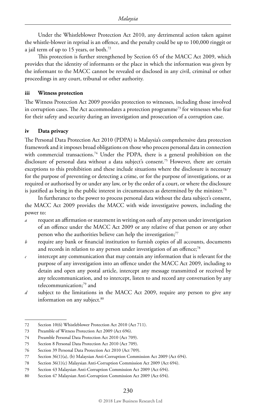Under the Whistleblower Protection Act 2010, any detrimental action taken against the whistle-blower in reprisal is an offence, and the penalty could be up to 100,000 ringgit or a jail term of up to 15 years, or both.72

This protection is further strengthened by Section 65 of the MACC Act 2009, which provides that the identity of informants or the place in which the information was given by the informant to the MACC cannot be revealed or disclosed in any civil, criminal or other proceedings in any court, tribunal or other authority.

#### **iii Witness protection**

The Witness Protection Act 2009 provides protection to witnesses, including those involved in corruption cases. The Act accommodates a protection programme<sup>73</sup> for witnesses who fear for their safety and security during an investigation and prosecution of a corruption case.

#### **iv Data privacy**

The Personal Data Protection Act 2010 (PDPA) is Malaysia's comprehensive data protection framework and it imposes broad obligations on those who process personal data in connection with commercial transactions.<sup>74</sup> Under the PDPA, there is a general prohibition on the disclosure of personal data without a data subject's consent.75 However, there are certain exceptions to this prohibition and these include situations where the disclosure is necessary for the purpose of preventing or detecting a crime, or for the purpose of investigations, or as required or authorised by or under any law, or by the order of a court, or where the disclosure is justified as being in the public interest in circumstances as determined by the minister.<sup>76</sup>

In furtherance to the power to process personal data without the data subject's consent, the MACC Act 2009 provides the MACC with wide investigative powers, including the power to:

- *a* request an affirmation or statement in writing on oath of any person under investigation of an offence under the MACC Act 2009 or any relative of that person or any other person who the authorities believe can help the investigation;<sup>77</sup>
- *b* require any bank or financial institution to furnish copies of all accounts, documents and records in relation to any person under investigation of an offence;<sup>78</sup>
- *c* intercept any communication that may contain any information that is relevant for the purpose of any investigation into an offence under the MACC Act 2009, including to detain and open any postal article, intercept any message transmitted or received by any telecommunication, and to intercept, listen to and record any conversation by any telecommunication;<sup>79</sup> and
- *d* subject to the limitations in the MACC Act 2009, require any person to give any information on any subject.<sup>80</sup>

<sup>72</sup> Section 10(6) Whistleblower Protection Act 2010 (Act 711).

<sup>73</sup> Preamble of Witness Protection Act 2009 (Act 696).

<sup>74</sup> Preamble Personal Data Protection Act 2010 (Act 709).

<sup>75</sup> Section 8 Personal Data Protection Act 2010 (Act 709).

<sup>76</sup> Section 39 Personal Data Protection Act 2010 (Act 709).

<sup>77</sup> Section 36(1)(a), (b) Malaysian Anti-Corruption Commission Act 2009 (Act 694).

<sup>78</sup> Section 36(1)(c) Malaysian Anti-Corruption Commission Act 2009 (Act 694).

<sup>79</sup> Section 43 Malaysian Anti-Corruption Commission Act 2009 (Act 694).

<sup>80</sup> Section 47 Malaysian Anti-Corruption Commission Act 2009 (Act 694).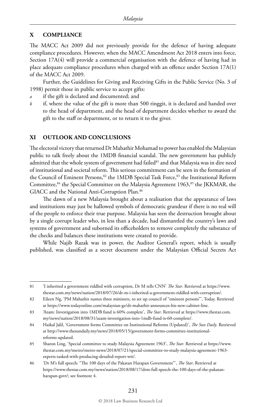#### **X COMPLIANCE**

The MACC Act 2009 did not previously provide for the defence of having adequate compliance procedures. However, when the MACC Amendment Act 2018 enters into force, Section 17A(4) will provide a commercial organisation with the defence of having had in place adequate compliance procedures when charged with an offence under Section 17A(1) of the MACC Act 2009.

Further, the Guidelines for Giving and Receiving Gifts in the Public Service (No. 3 of 1998) permit those in public service to accept gifts:

- *a* if the gift is declared and documented; and
- *b* if, where the value of the gift is more than 500 ringgit, it is declared and handed over to the head of department, and the head of department decides whether to award the gift to the staff or department, or to return it to the giver.

#### **XI OUTLOOK AND CONCLUSIONS**

The electoral victory that returned Dr Mahathir Mohamad to power has enabled the Malaysian public to talk freely about the 1MDB financial scandal. The new government has publicly admitted that the whole system of government had failed $81$  and that Malaysia was in dire need of institutional and societal reform. This serious commitment can be seen in the formation of the Council of Eminent Persons,<sup>82</sup> the 1MDB Special Task Force,<sup>83</sup> the Institutional Reform Committee,<sup>84</sup> the Special Committee on the Malaysia Agreement 1963,<sup>85</sup> the JKKMAR, the GIACC and the National Anti-Corruption Plan.<sup>86</sup>

The dawn of a new Malaysia brought about a realisation that the appearance of laws and institutions may just be hallowed symbols of democratic grandeur if there is no real will of the people to enforce their true purpose. Malaysia has seen the destruction brought about by a single corrupt leader who, in less than a decade, had dismantled the country's laws and systems of government and suborned its officeholders to remove completely the substance of the checks and balances these institutions were created to provide.

While Najib Razak was in power, the Auditor General's report, which is usually published, was classified as a secret document under the Malaysian Official Secrets Act

<sup>81</sup> 'I inherited a government riddled with corruption, Dr M tells CNN' *The Star*. Retrieved at https://www. thestar.com.my/news/nation/2018/07/26/dr-m-i-inherited-a-government-riddled-with-corruption/.

<sup>82</sup> Eileen Ng, 'PM Mahathir names three ministers, to set up council of "eminent persons"', Today. Retrieved at https://www.todayonline.com/malaysian-ge/dr-mahathir-announces-his-new-cabinet-line.

<sup>83</sup> 'Azam: Investigation into 1MDB fund is 60% complete', *The Star*. Retrieved at https://www.thestar.com. my/news/nation/2018/08/31/azam-investigation-into-1mdb-fund-is-60-complete/.

<sup>84</sup> Haikal Jalil, 'Government forms Committee on Institutional Reforms (Updated)', *The Sun Daily*. Retrieved at http://www.thesundaily.my/news/2018/05/15/government-forms-committee-institutionalreforms-updated.

<sup>85</sup> Sharon Ling, 'Special committee to study Malaysia Agreement 1963', *The Star*. Retrieved at https://www. thestar.com.my/metro/metro-news/2018/07/21/special-committee-to-study-malaysia-agreement-1963 experts-tasked-with-producing-detailed-report-wit/.

<sup>86</sup> 'Dr M's full speech: "The 100 days of the Pakatan Harapan Government"', *The Star*. Retrieved at https://www.thestar.com.my/news/nation/2018/08/17/drm-full-speech-the-100-days-of-the-pakatanharapan-govt/; see footnote 4.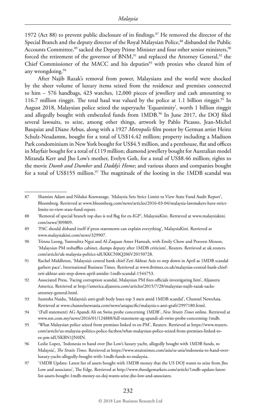1972 (Act 88) to prevent public disclosure of its findings.<sup>87</sup> He removed the director of the Special Branch and the deputy director of the Royal Malaysian Police,<sup>88</sup> disbanded the Public Accounts Committee,<sup>89</sup> sacked the Deputy Prime Minister and four other senior ministers,<sup>90</sup> forced the retirement of the governor of BNM,<sup>91</sup> and replaced the Attorney General,<sup>92</sup> the Chief Commissioner of the MACC and his deputies<sup>93</sup> with proxies who cleared him of any wrongdoing.94

After Najib Razak's removal from power, Malaysians and the world were shocked by the sheer volume of luxury items seized from the residence and premises connected to him – 576 handbags, 423 watches, 12,000 pieces of jewellery and cash amounting to 116.7 million ringgit. The total haul was valued by the police at 1.1 billion ringgit.<sup>95</sup> In August 2018, Malaysian police seized the superyacht 'Equanimity', worth 1 billion ringgit and allegedly bought with embezzled funds from 1MDB.<sup>96</sup> In June 2017, the DOJ filed several lawsuits, to seize, among other things, artwork by Pablo Picasso, Jean-Michel Basquiat and Diane Arbus, along with a 1927 *Metropolis* film poster by German artist Heinz Schulz-Neudamm, bought for a total of US\$14.42 million; property including a Madison Park condominium in New York bought for US\$4.5 million, and a penthouse, flat and offices in Mayfair bought for a total of £119 million; diamond jewellery bought for Australian model Miranda Kerr and Jho Low's mother, Evelyn Goh, for a total of US\$8.46 million; rights to the movie *Dumb and Dumber* and *Daddy's Home*; and various shares and companies bought for a total of US\$155 million.<sup>97</sup> The magnitude of the looting in the 1MDB scandal was

#### © 2018 Law Business Research Ltd

<sup>87</sup> Shamim Adam and Niluksi Koswanage, 'Malaysia Sets Strict Limits to View State Fund Audit Report', Bloomberg. Retrieved at www.bloomberg.com/news/articles/2016-03-04/malaysia-lawmakers-have-strictlimits-to-view-state-fund-report.

<sup>88</sup> 'Removal of special branch top duo is red flag for ex-IGP', MalaysiaKini. Retrieved at www.malaysiakini. com/news/309809.

<sup>89</sup> 'PAC should disband itself if press statements can explain everything', MalaysiaKini. Retrieved at www.malaysiakini.com/news/329907.

<sup>90</sup> Trinna Leong, Yantoultra Ngui and Al-Zaquan Amer Hamzah, with Emily Chow and Praveen Menon, 'Malaysian PM reshuffles cabinet, dumps deputy after 1MDB criticism', Reuters. Retrieved at uk.reuters. com/article/uk-malaysia-politics-idUKKCN0Q206V20150728.

<sup>91</sup> Rachel Middleton, 'Malaysia's central bank chief Zeti Akhtar Aziz to step down in April as 1MDB scandal gathers pace', International Business Times. Retrieved at www.ibtimes.co.uk/malaysias-central-bank-chiefzeti-akhtar-aziz-step-down-april-amidst-1mdb-scandal-1544753.

<sup>92</sup> Associated Press, 'Facing corruption scandal, Malaysian PM fires officials investigating him', Aljazeera America. Retrieved at http://america.aljazeera.com/articles/2015/7/28/malaysias-najib-razak-sacksattorney-general.html.

<sup>93</sup> Sumisha Naidu, 'Malaysia's anti-graft body loses top 3 men amid 1MDB scandal', Channel NewsAsia. Retrieved at www.channelnewsasia.com/news/asiapacific/malaysia-s-anti-graft/2997180.html.

<sup>94</sup> '(Full statement) AG Apandi Ali on Swiss probe concerning 1MDB', *New Straits Times* online. Retrieved at www.nst.com.my/news/2016/01/124888/full-statement-ag-apandi-ali-swiss-probe-concerning-1mdb.

<sup>95</sup> 'What Malaysian police seized from premises linked to ex-PM', Reuters. Retrieved at https://www.reuters. com/article/us-malaysia-politics-police-factbox/what-malaysian-police-seized-from-premises-linked-toex-pm-idUSKBN1JN0IN.

<sup>96</sup> Leslie Lopez, 'Indonesia to hand over Jho Low's luxury yacht, allegedly bought with 1MDB funds, to Malaysia', *The Straits Times*. Retrieved at https://www.straitstimes.com/asia/se-asia/indonesia-to-hand-overluxury-yacht-allegedly-bought-with-1mdb-funds-to-malaysia.

<sup>97</sup> '1MDB Update: Latest list of assets bought with 1MDB money that the US DOJ wants to seize from Jho Low and associates', The Edge. Retrieved at http://www.theedgemarkets.com/article/1mdb-update-latestlist-assets-bought-1mdb-money-us-doj-wants-seize-jho-low-and-associates.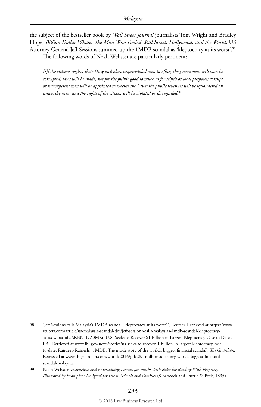the subject of the bestseller book by *Wall Street Journal* journalists Tom Wright and Bradley Hope, *Billion Dollar Whale: The Man Who Fooled Wall Street, Hollywood, and the World*. US Attorney General Jeff Sessions summed up the 1MDB scandal as 'kleptocracy at its worst'.98 The following words of Noah Webster are particularly pertinent:

*[I]f the citizens neglect their Duty and place unprincipled men in office, the government will soon be corrupted; laws will be made, not for the public good so much as for selfish or local purposes; corrupt or incompetent men will be appointed to execute the Laws; the public revenues will be squandered on unworthy men; and the rights of the citizen will be violated or disregarded.*<sup>99</sup>

<sup>98</sup> 'Jeff Sessions calls Malaysia's 1MDB scandal "kleptocracy at its worst"', Reuters. Retrieved at https://www. reuters.com/article/us-malaysia-scandal-doj/jeff-sessions-calls-malaysias-1mdb-scandal-kleptocracyat-its-worst-idUSKBN1DZ0MX; 'U.S. Seeks to Recover \$1 Billion in Largest Kleptocracy Case to Date', FBI. Retrieved at www.fbi.gov/news/stories/us-seeks-to-recover-1-billion-in-largest-kleptocracy-caseto-date; Randeep Ramesh, '1MDB: The inside story of the world's biggest financial scandal', *The Guardian*. Retrieved at www.theguardian.com/world/2016/jul/28/1mdb-inside-story-worlds-biggest-financialscandal-malaysia.

<sup>99</sup> Noah Webster, *Instructive and Entertaining Lessons for Youth: With Rules for Reading With Propriety, Illustrated by Examples : Designed for Use in Schools and Families* (S Babcock and Durrie & Peck, 1835).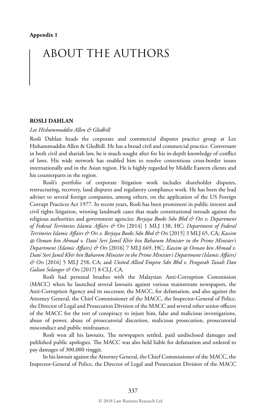## ABOUT THE AUTHORS

#### **ROSLI DAHLAN**

*Lee Hishammuddin Allen & Gledhill*

Rosli Dahlan heads the corporate and commercial disputes practice group at Lee Hishammuddin Allen & Gledhill. He has a broad civil and commercial practice. Conversant in both civil and shariah law, he is much sought after for his in-depth knowledge of conflict of laws. His wide network has enabled him to resolve contentious cross-border issues internationally and in the Asian region. He is highly regarded by Middle Eastern clients and his counterparts in the region.

Rosli's portfolio of corporate litigation work includes shareholder disputes, restructuring, recovery, land disputes and regulatory compliance work. He has been the lead adviser to several foreign companies, among others, on the application of the US Foreign Corrupt Practices Act 1977. In recent years, Rosli has been prominent in public interest and civil rights litigation, winning landmark cases that made constitutional inroads against the religious authorities and government agencies: *Berjaya Books Sdn Bhd & Ors v. Department of Federal Territories Islamic Affairs & Ors* [2014] 1 MLJ 138, HC; *Department of Federal Territories Islamic Affairs & Ors v. Berjaya Books Sdn Bhd & Ors* [2015] 3 MLJ 65, CA; *Kassim @ Osman bin Ahmad v. Dato' Seri Jamil Khir bin Baharom Minister in the Prime Minister's Department (Islamic Affairs) & Ors* [2016] 7 MLJ 669, HC; *Kassim @ Osman bin Ahmad v. Dato' Seri Jamil Khir bin Baharom Minister in the Prime Minister's Department (Islamic Affairs) & Ors* [2016] 5 MLJ 258, CA; and *United Allied Empire Sdn Bhd v. Pengarah Tanah Dan Galian Selangor & Ors* [2017] 8 CLJ, CA.

Rosli had personal brushes with the Malaysian Anti-Corruption Commission (MACC) when he launched several lawsuits against various mainstream newspapers, the Anti-Corruption Agency and its successor, the MACC, for defamation, and also against the Attorney General, the Chief Commissioner of the MACC, the Inspector-General of Police, the Director of Legal and Prosecution Division of the MACC and several other senior officers of the MACC for the tort of conspiracy to injure him, false and malicious investigations, abuse of power, abuse of prosecutorial discretion, malicious prosecution, prosecutorial misconduct and public misfeasance.

Rosli won all his lawsuits. The newspapers settled, paid undisclosed damages and published public apologies. The MACC was also held liable for defamation and ordered to pay damages of 300,000 ringgit.

In his lawsuit against the Attorney General, the Chief Commissioner of the MACC, the Inspector-General of Police, the Director of Legal and Prosecution Division of the MACC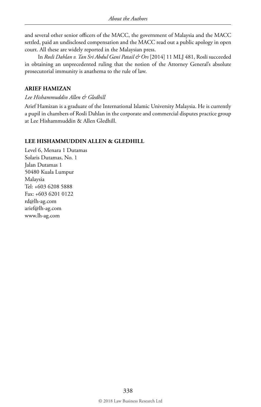and several other senior officers of the MACC, the government of Malaysia and the MACC settled, paid an undisclosed compensation and the MACC read out a public apology in open court. All these are widely reported in the Malaysian press.

In *Rosli Dahlan v. Tan Sri Abdul Gani Patail & Ors* [2014] 11 MLJ 481, Rosli succeeded in obtaining an unprecedented ruling that the notion of the Attorney General's absolute prosecutorial immunity is anathema to the rule of law.

#### **ARIEF HAMIZAN**

*Lee Hishammuddin Allen & Gledhill*

Arief Hamizan is a graduate of the International Islamic University Malaysia. He is currently a pupil in chambers of Rosli Dahlan in the corporate and commercial disputes practice group at Lee Hishammuddin & Allen Gledhill.

#### **LEE HISHAMMUDDIN ALLEN & GLEDHILL**

Level 6, Menara 1 Dutamas Solaris Dutamas, No. 1 Jalan Dutamas 1 50480 Kuala Lumpur Malaysia Tel: +603 6208 5888 Fax: +603 6201 0122 rd@lh-ag.com arief@lh-ag.com www.lh-ag.com